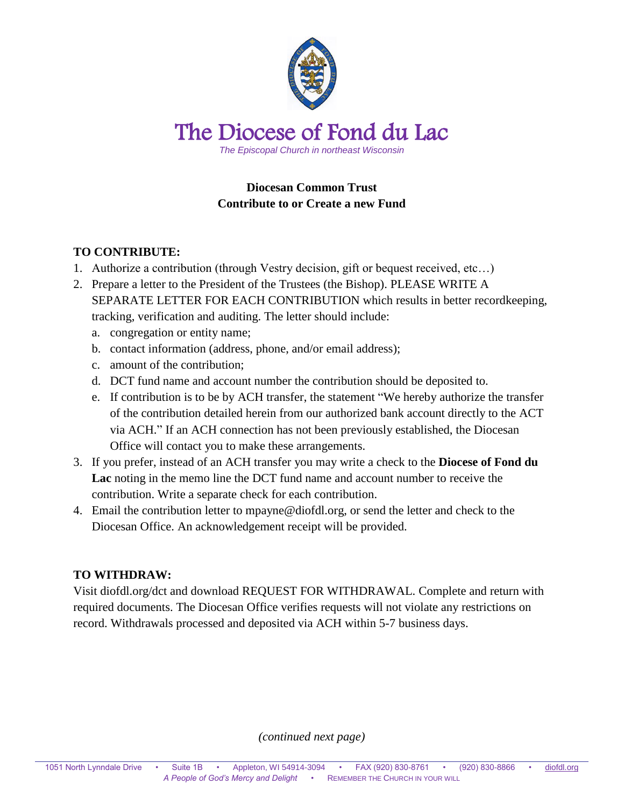

## **Diocesan Common Trust Contribute to or Create a new Fund**

## **TO CONTRIBUTE:**

- 1. Authorize a contribution (through Vestry decision, gift or bequest received, etc…)
- 2. Prepare a letter to the President of the Trustees (the Bishop). PLEASE WRITE A SEPARATE LETTER FOR EACH CONTRIBUTION which results in better recordkeeping, tracking, verification and auditing. The letter should include:
	- a. congregation or entity name;
	- b. contact information (address, phone, and/or email address);
	- c. amount of the contribution;
	- d. DCT fund name and account number the contribution should be deposited to.
	- e. If contribution is to be by ACH transfer, the statement "We hereby authorize the transfer of the contribution detailed herein from our authorized bank account directly to the ACT via ACH." If an ACH connection has not been previously established, the Diocesan Office will contact you to make these arrangements.
- 3. If you prefer, instead of an ACH transfer you may write a check to the **Diocese of Fond du Lac** noting in the memo line the DCT fund name and account number to receive the contribution. Write a separate check for each contribution.
- 4. Email the contribution letter to mpayne@diofdl.org, or send the letter and check to the Diocesan Office. An acknowledgement receipt will be provided.

## **TO WITHDRAW:**

Visit diofdl.org/dct and download REQUEST FOR WITHDRAWAL. Complete and return with required documents. The Diocesan Office verifies requests will not violate any restrictions on record. Withdrawals processed and deposited via ACH within 5-7 business days.

*(continued next page)*